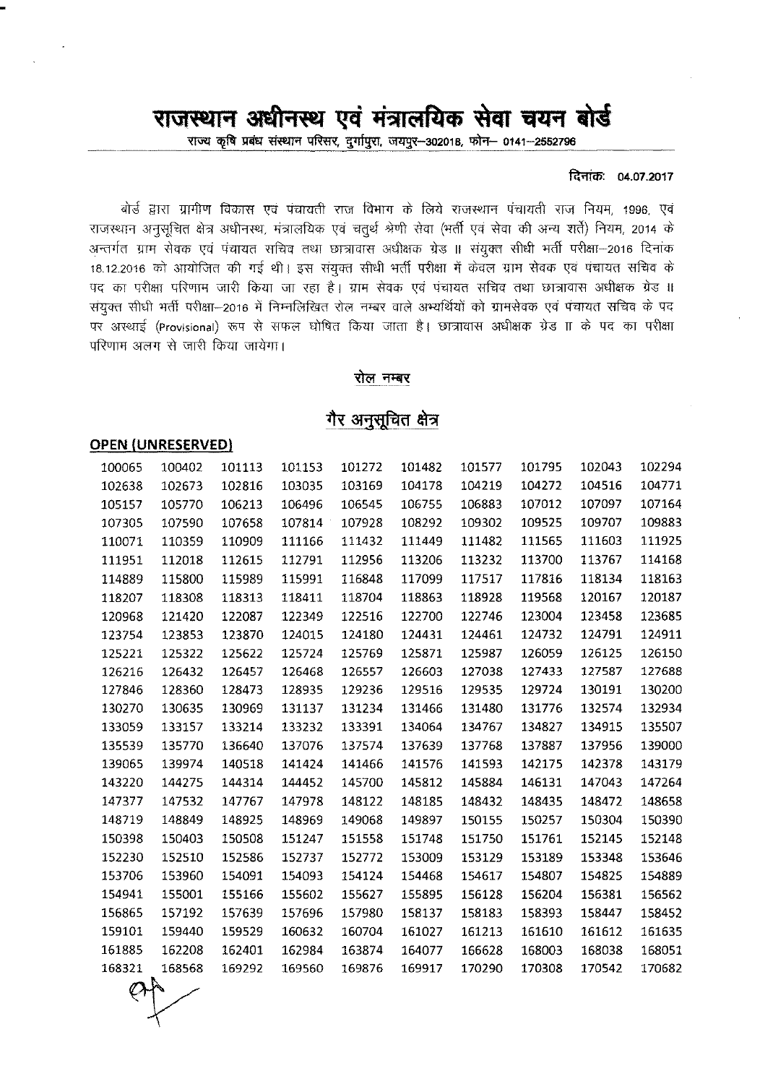# राजस्थान अधीनस्थ एवं मंत्रालयिक सेवा चयन बोर्ड

राज्य कृषि प्रबंध संस्थान परिसर, दुर्गापुरा, जयपुर-302018, फोन- 0141-2552796

#### दिनांकः 04.07.2017

बोर्ड द्वारा ग्रामीण विकास एवं पंचायती राज विभाग के लिये राजस्थान पंचायती राज नियम, 1996, एवं राजस्थान अनुसूचित क्षेत्र अधीनस्थ, मंत्रालयिक एवं चतुर्थ श्रेणी सेवा (भर्ती एवं सेवा की अन्य शर्ते) नियम, 2014 के अन्तर्गत ग्राम सेवक एवं पंचायत सचिव तथा छात्रावास अधीक्षक ग्रेड ॥ संयुक्त सीधी भर्ती परीक्षा–2016 दिनांक 18.12.2016 को आयोजित की गई थी। इस संयुक्त सीधी भर्ती परीक्षा में केवल ग्राम सेवक एवं पंचायत सचिव के पद का परीक्षा परिणाम जारी किया जा रहा है। ग्राम सेवक एवं पंचायत सचिव तथा छात्रावास अधीक्षक ग्रेड ॥ .<br>संयुक्त सीधी भर्ती परीक्षा—2016 में निम्नलिखित रोल नम्बर वाले अभ्यर्थियों को ग्रामसेवक एवं पंचायत सचिव के पद पर अस्थाई (Provisional) रूप से सफल घोषित किया जाता है। छात्रावास अधीक्षक ग्रेड IT के पद का परीक्षा परिणाम अलग से जारी किया जायेगा।

#### रोल नम्बर

## गैर अनुसूचित क्षेत्र

### **OPEN {UNRESERVED}**

| 100065 | 100402 | 101113 | 101153 | 101272 | 101482 | 101577 | 101795 | 102043 | 102294 |
|--------|--------|--------|--------|--------|--------|--------|--------|--------|--------|
| 102638 | 102673 | 102816 | 103035 | 103169 | 104178 | 104219 | 104272 | 104516 | 104771 |
| 105157 | 105770 | 106213 | 106496 | 106545 | 106755 | 106883 | 107012 | 107097 | 107164 |
| 107305 | 107590 | 107658 | 107814 | 107928 | 108292 | 109302 | 109525 | 109707 | 109883 |
| 110071 | 110359 | 110909 | 111166 | 111432 | 111449 | 111482 | 111565 | 111603 | 111925 |
| 111951 | 112018 | 112615 | 112791 | 112956 | 113206 | 113232 | 113700 | 113767 | 114168 |
| 114889 | 115800 | 115989 | 115991 | 116848 | 117099 | 117517 | 117816 | 118134 | 118163 |
| 118207 | 118308 | 118313 | 118411 | 118704 | 118863 | 118928 | 119568 | 120167 | 120187 |
| 120968 | 121420 | 122087 | 122349 | 122516 | 122700 | 122746 | 123004 | 123458 | 123685 |
| 123754 | 123853 | 123870 | 124015 | 124180 | 124431 | 124461 | 124732 | 124791 | 124911 |
| 125221 | 125322 | 125622 | 125724 | 125769 | 125871 | 125987 | 126059 | 126125 | 126150 |
| 126216 | 126432 | 126457 | 126468 | 126557 | 126603 | 127038 | 127433 | 127587 | 127688 |
| 127846 | 128360 | 128473 | 128935 | 129236 | 129516 | 129535 | 129724 | 130191 | 130200 |
| 130270 | 130635 | 130969 | 131137 | 131234 | 131466 | 131480 | 131776 | 132574 | 132934 |
| 133059 | 133157 | 133214 | 133232 | 133391 | 134064 | 134767 | 134827 | 134915 | 135507 |
| 135539 | 135770 | 136640 | 137076 | 137574 | 137639 | 137768 | 137887 | 137956 | 139000 |
| 139065 | 139974 | 140518 | 141424 | 141466 | 141576 | 141593 | 142175 | 142378 | 143179 |
| 143220 | 144275 | 144314 | 144452 | 145700 | 145812 | 145884 | 146131 | 147043 | 147264 |
| 147377 | 147532 | 147767 | 147978 | 148122 | 148185 | 148432 | 148435 | 148472 | 148658 |
| 148719 | 148849 | 148925 | 148969 | 149068 | 149897 | 150155 | 150257 | 150304 | 150390 |
| 150398 | 150403 | 150508 | 151247 | 151558 | 151748 | 151750 | 151761 | 152145 | 152148 |
| 152230 | 152510 | 152586 | 152737 | 152772 | 153009 | 153129 | 153189 | 153348 | 153646 |
| 153706 | 153960 | 154091 | 154093 | 154124 | 154468 | 154617 | 154807 | 154825 | 154889 |
| 154941 | 155001 | 155166 | 155602 | 155627 | 155895 | 156128 | 156204 | 156381 | 156562 |
| 156865 | 157192 | 157639 | 157696 | 157980 | 158137 | 158183 | 158393 | 158447 | 158452 |
| 159101 | 159440 | 159529 | 160632 | 160704 | 161027 | 161213 | 161610 | 161612 | 161635 |
| 161885 | 162208 | 162401 | 162984 | 163874 | 164077 | 166628 | 168003 | 168038 | 168051 |
| 168321 | 168568 | 169292 | 169560 | 169876 | 169917 | 170290 | 170308 | 170542 | 170682 |
|        |        |        |        |        |        |        |        |        |        |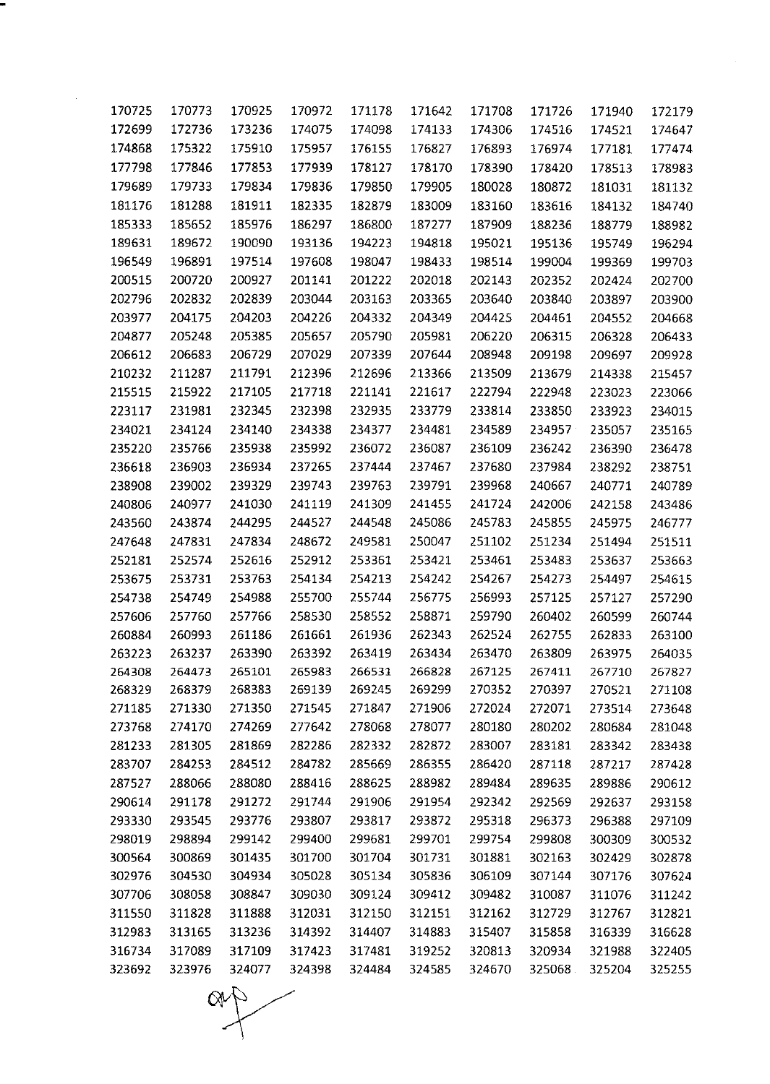| 170725 | 170773 | 170925 | 170972 | 171178 | 171642 | 171708 | 171726 | 171940 | 172179 |
|--------|--------|--------|--------|--------|--------|--------|--------|--------|--------|
| 172699 | 172736 | 173236 | 174075 | 174098 | 174133 | 174306 | 174516 | 174521 | 174647 |
| 174868 | 175322 | 175910 | 175957 | 176155 | 176827 | 176893 | 176974 | 177181 | 177474 |
| 177798 | 177846 | 177853 | 177939 | 178127 | 178170 | 178390 | 178420 | 178513 | 178983 |
| 179689 | 179733 | 179834 | 179836 | 179850 | 179905 | 180028 | 180872 | 181031 | 181132 |
| 181176 | 181288 | 181911 | 182335 | 182879 | 183009 | 183160 | 183616 | 184132 | 184740 |
| 185333 | 185652 | 185976 | 186297 | 186800 | 187277 | 187909 | 188236 | 188779 | 188982 |
| 189631 | 189672 | 190090 | 193136 | 194223 | 194818 | 195021 | 195136 | 195749 | 196294 |
| 196549 | 196891 | 197514 | 197608 | 198047 | 198433 | 198514 | 199004 | 199369 | 199703 |
| 200515 | 200720 | 200927 | 201141 | 201222 | 202018 | 202143 | 202352 | 202424 | 202700 |
| 202796 | 202832 | 202839 | 203044 | 203163 | 203365 | 203640 | 203840 | 203897 | 203900 |
| 203977 | 204175 | 204203 | 204226 | 204332 | 204349 | 204425 | 204461 | 204552 | 204668 |
| 204877 | 205248 | 205385 | 205657 | 205790 | 205981 | 206220 | 206315 | 206328 | 206433 |
| 206612 | 206683 | 206729 | 207029 | 207339 | 207644 | 208948 | 209198 | 209697 | 209928 |
| 210232 | 211287 | 211791 | 212396 | 212696 | 213366 | 213509 | 213679 | 214338 | 215457 |
| 215515 | 215922 | 217105 | 217718 | 221141 | 221617 | 222794 | 222948 | 223023 | 223066 |
| 223117 | 231981 | 232345 | 232398 | 232935 | 233779 | 233814 | 233850 | 233923 | 234015 |
| 234021 | 234124 | 234140 | 234338 | 234377 | 234481 | 234589 | 234957 | 235057 | 235165 |
| 235220 | 235766 | 235938 | 235992 | 236072 | 236087 | 236109 | 236242 | 236390 | 236478 |
| 236618 | 236903 | 236934 | 237265 | 237444 | 237467 | 237680 | 237984 | 238292 | 238751 |
| 238908 | 239002 | 239329 | 239743 | 239763 | 239791 | 239968 | 240667 | 240771 | 240789 |
| 240806 | 240977 | 241030 | 241119 | 241309 | 241455 | 241724 | 242006 | 242158 | 243486 |
| 243560 | 243874 | 244295 | 244527 | 244548 | 245086 | 245783 | 245855 | 245975 | 246777 |
| 247648 | 247831 | 247834 | 248672 | 249581 | 250047 | 251102 | 251234 | 251494 | 251511 |
| 252181 | 252574 | 252616 | 252912 | 253361 | 253421 | 253461 | 253483 | 253637 | 253663 |
| 253675 | 253731 | 253763 | 254134 | 254213 | 254242 | 254267 | 254273 | 254497 | 254615 |
| 254738 | 254749 | 254988 | 255700 | 255744 | 256775 | 256993 | 257125 | 257127 | 257290 |
| 257606 | 257760 | 257766 | 258530 | 258552 | 258871 | 259790 | 260402 | 260599 | 260744 |
| 260884 | 260993 | 261186 | 261661 | 261936 | 262343 | 262524 | 262755 | 262833 | 263100 |
| 263223 | 263237 | 263390 | 263392 | 263419 | 263434 | 263470 | 263809 | 263975 | 264035 |
| 264308 | 264473 | 265101 | 265983 | 266531 | 266828 | 267125 | 267411 | 267710 | 267827 |
| 268329 | 268379 | 268383 | 269139 | 269245 | 269299 | 270352 | 270397 | 270521 | 271108 |
| 271185 | 271330 | 271350 | 271545 | 271847 | 271906 | 272024 | 272071 | 273514 | 273648 |
| 273768 | 274170 | 274269 | 277642 | 278068 | 278077 | 280180 | 280202 | 280684 | 281048 |
| 281233 | 281305 | 281869 | 282286 | 282332 | 282872 | 283007 | 283181 | 283342 | 283438 |
| 283707 | 284253 | 284512 | 284782 | 285669 | 286355 | 286420 | 287118 | 287217 | 287428 |
| 287527 | 288066 | 288080 | 288416 | 288625 | 288982 | 289484 | 289635 | 289886 | 290612 |
| 290614 | 291178 | 291272 | 291744 | 291906 | 291954 | 292342 | 292569 | 292637 | 293158 |
| 293330 | 293545 | 293776 | 293807 | 293817 | 293872 | 295318 | 296373 | 296388 | 297109 |
| 298019 | 298894 | 299142 | 299400 | 299681 | 299701 | 299754 | 299808 | 300309 | 300532 |
| 300564 | 300869 | 301435 | 301700 | 301704 | 301731 | 301881 | 302163 | 302429 | 302878 |
| 302976 | 304530 | 304934 | 305028 | 305134 | 305836 | 306109 | 307144 | 307176 | 307624 |
| 307706 | 308058 | 308847 | 309030 | 309124 | 309412 | 309482 | 310087 | 311076 | 311242 |
| 311550 | 311828 | 311888 | 312031 | 312150 | 312151 | 312162 | 312729 | 312767 | 312821 |
| 312983 | 313165 | 313236 | 314392 | 314407 | 314883 | 315407 | 315858 | 316339 | 316628 |
| 316734 | 317089 | 317109 | 317423 | 317481 | 319252 | 320813 | 320934 | 321988 | 322405 |
| 323692 | 323976 | 324077 | 324398 | 324484 | 324585 | 324670 | 325068 | 325204 | 325255 |

 $\mathbb{Q}$ 

 $\bigg)$ 

ī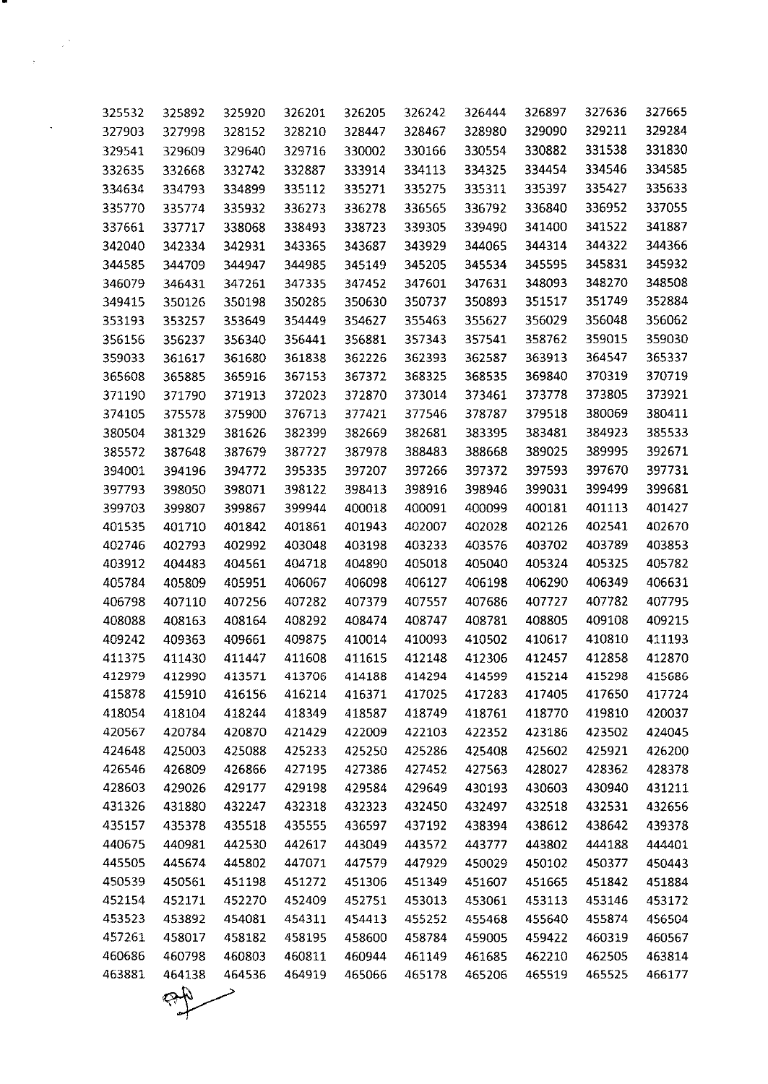| 325532 | 325892 | 325920 | 326201 | 326205 | 326242 | 326444 | 326897 | 327636 | 327665 |
|--------|--------|--------|--------|--------|--------|--------|--------|--------|--------|
| 327903 | 327998 | 328152 | 328210 | 328447 | 328467 | 328980 | 329090 | 329211 | 329284 |
| 329541 | 329609 | 329640 | 329716 | 330002 | 330166 | 330554 | 330882 | 331538 | 331830 |
| 332635 | 332668 | 332742 | 332887 | 333914 | 334113 | 334325 | 334454 | 334546 | 334585 |
| 334634 | 334793 | 334899 | 335112 | 335271 | 335275 | 335311 | 335397 | 335427 | 335633 |
| 335770 | 335774 | 335932 | 336273 | 336278 | 336565 | 336792 | 336840 | 336952 | 337055 |
| 337661 | 337717 | 338068 | 338493 | 338723 | 339305 | 339490 | 341400 | 341522 | 341887 |
| 342040 | 342334 | 342931 | 343365 | 343687 | 343929 | 344065 | 344314 | 344322 | 344366 |
| 344585 | 344709 | 344947 | 344985 | 345149 | 345205 | 345534 | 345595 | 345831 | 345932 |
| 346079 | 346431 | 347261 | 347335 | 347452 | 347601 | 347631 | 348093 | 348270 | 348508 |
| 349415 | 350126 | 350198 | 350285 | 350630 | 350737 | 350893 | 351517 | 351749 | 352884 |
| 353193 | 353257 | 353649 | 354449 | 354627 | 355463 | 355627 | 356029 | 356048 | 356062 |
| 356156 | 356237 | 356340 | 356441 | 356881 | 357343 | 357541 | 358762 | 359015 | 359030 |
| 359033 | 361617 | 361680 | 361838 | 362226 | 362393 | 362587 | 363913 | 364547 | 365337 |
| 365608 | 365885 | 365916 | 367153 | 367372 | 368325 | 368535 | 369840 | 370319 | 370719 |
| 371190 | 371790 | 371913 | 372023 | 372870 | 373014 | 373461 | 373778 | 373805 | 373921 |
| 374105 | 375578 | 375900 | 376713 | 377421 | 377546 | 378787 | 379518 | 380069 | 380411 |
| 380504 | 381329 | 381626 | 382399 | 382669 | 382681 | 383395 | 383481 | 384923 | 385533 |
| 385572 | 387648 | 387679 | 387727 | 387978 | 388483 | 388668 | 389025 | 389995 | 392671 |
| 394001 | 394196 | 394772 | 395335 | 397207 | 397266 | 397372 | 397593 | 397670 | 397731 |
| 397793 | 398050 | 398071 | 398122 | 398413 | 398916 | 398946 | 399031 | 399499 | 399681 |
| 399703 | 399807 | 399867 | 399944 | 400018 | 400091 | 400099 | 400181 | 401113 | 401427 |
| 401535 | 401710 | 401842 | 401861 | 401943 | 402007 | 402028 | 402126 | 402541 | 402670 |
| 402746 | 402793 | 402992 | 403048 | 403198 | 403233 | 403576 | 403702 | 403789 | 403853 |
| 403912 | 404483 | 404561 | 404718 | 404890 | 405018 | 405040 | 405324 | 405325 | 405782 |
| 405784 | 405809 | 405951 | 406067 | 406098 | 406127 | 406198 | 406290 | 406349 | 406631 |
| 406798 | 407110 | 407256 | 407282 | 407379 | 407557 | 407686 | 407727 | 407782 | 407795 |
| 408088 | 408163 | 408164 | 408292 | 408474 | 408747 | 408781 | 408805 | 409108 | 409215 |
| 409242 | 409363 | 409661 | 409875 | 410014 | 410093 | 410502 | 410617 | 410810 | 411193 |
| 411375 | 411430 | 411447 | 411608 | 411615 | 412148 | 412306 | 412457 | 412858 | 412870 |
| 412979 | 412990 | 413571 | 413706 | 414188 | 414294 | 414599 | 415214 | 415298 | 415686 |
| 415878 | 415910 | 416156 | 416214 | 416371 | 417025 | 417283 | 417405 | 417650 | 417724 |
| 418054 | 418104 | 418244 | 418349 | 418587 | 418749 | 418761 | 418770 | 419810 | 420037 |
| 420567 | 420784 | 420870 | 421429 | 422009 | 422103 | 422352 | 423186 | 423502 | 424045 |
| 424648 | 425003 | 425088 | 425233 | 425250 | 425286 | 425408 | 425602 | 425921 | 426200 |
| 426546 | 426809 | 426866 | 427195 | 427386 | 427452 | 427563 | 428027 | 428362 | 428378 |
| 428603 | 429026 | 429177 | 429198 | 429584 | 429649 | 430193 | 430603 | 430940 | 431211 |
| 431326 | 431880 | 432247 | 432318 | 432323 | 432450 | 432497 | 432518 | 432531 | 432656 |
| 435157 | 435378 | 435518 | 435555 | 436597 | 437192 | 438394 | 438612 | 438642 | 439378 |
| 440675 | 440981 | 442530 | 442617 | 443049 | 443572 | 443777 | 443802 | 444188 | 444401 |
| 445505 | 445674 | 445802 | 447071 | 447579 | 447929 | 450029 | 450102 | 450377 | 450443 |
| 450539 | 450561 | 451198 | 451272 | 451306 | 451349 | 451607 | 451665 | 451842 | 451884 |
| 452154 | 452171 | 452270 | 452409 | 452751 | 453013 | 453061 | 453113 | 453146 | 453172 |
| 453523 | 453892 | 454081 | 454311 | 454413 | 455252 | 455468 | 455640 | 455874 | 456504 |
| 457261 | 458017 | 458182 | 458195 | 458600 | 458784 | 459005 | 459422 | 460319 | 460567 |
| 460686 | 460798 | 460803 | 460811 | 460944 | 461149 | 461685 | 462210 | 462505 | 463814 |
| 463881 | 464138 | 464536 | 464919 | 465066 | 465178 | 465206 | 465519 | 465525 | 466177 |
|        |        |        |        |        |        |        |        |        |        |
|        |        |        |        |        |        |        |        |        |        |

.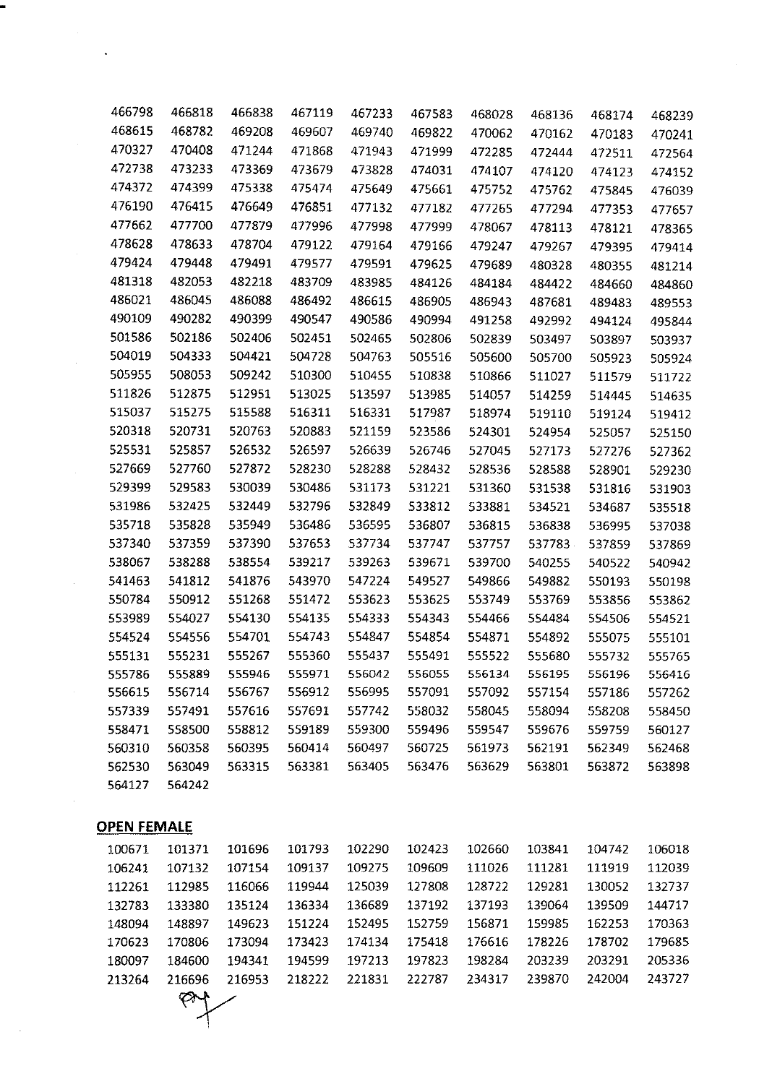| 466798 | 466818 | 466838 | 467119 | 467233 | 467583 | 468028 | 468136 | 468174 | 468239 |
|--------|--------|--------|--------|--------|--------|--------|--------|--------|--------|
| 468615 | 468782 | 469208 | 469607 | 469740 | 469822 | 470062 | 470162 | 470183 | 470241 |
| 470327 | 470408 | 471244 | 471868 | 471943 | 471999 | 472285 | 472444 | 472511 | 472564 |
| 472738 | 473233 | 473369 | 473679 | 473828 | 474031 | 474107 | 474120 | 474123 | 474152 |
| 474372 | 474399 | 475338 | 475474 | 475649 | 475661 | 475752 | 475762 | 475845 | 476039 |
| 476190 | 476415 | 476649 | 476851 | 477132 | 477182 | 477265 | 477294 | 477353 | 477657 |
| 477662 | 477700 | 477879 | 477996 | 477998 | 477999 | 478067 | 478113 | 478121 | 478365 |
| 478628 | 478633 | 478704 | 479122 | 479164 | 479166 | 479247 | 479267 | 479395 | 479414 |
| 479424 | 479448 | 479491 | 479577 | 479591 | 479625 | 479689 | 480328 | 480355 | 481214 |
| 481318 | 482053 | 482218 | 483709 | 483985 | 484126 | 484184 | 484422 | 484660 | 484860 |
| 486021 | 486045 | 486088 | 486492 | 486615 | 486905 | 486943 | 487681 | 489483 | 489553 |
| 490109 | 490282 | 490399 | 490547 | 490586 | 490994 | 491258 | 492992 | 494124 | 495844 |
| 501586 | 502186 | 502406 | 502451 | 502465 | 502806 | 502839 | 503497 | 503897 | 503937 |
| 504019 | 504333 | 504421 | 504728 | 504763 | 505516 | 505600 | 505700 | 505923 | 505924 |
| 505955 | 508053 | 509242 | 510300 | 510455 | 510838 | 510866 | 511027 | 511579 | 511722 |
| 511826 | 512875 | 512951 | 513025 | 513597 | 513985 | 514057 | 514259 | 514445 | 514635 |
| 515037 | 515275 | 515588 | 516311 | 516331 | 517987 | 518974 | 519110 | 519124 | 519412 |
| 520318 | 520731 | 520763 | 520883 | 521159 | 523586 | 524301 | 524954 | 525057 | 525150 |
| 525531 | 525857 | 526532 | 526597 | 526639 | 526746 | 527045 | 527173 | 527276 | 527362 |
| 527669 | 527760 | 527872 | 528230 | 528288 | 528432 | 528536 | 528588 | 528901 | 529230 |
| 529399 | 529583 | 530039 | 530486 | 531173 | 531221 | 531360 | 531538 | 531816 | 531903 |
| 531986 | 532425 | 532449 | 532796 | 532849 | 533812 | 533881 | 534521 | 534687 | 535518 |
| 535718 | 535828 | 535949 | 536486 | 536595 | 536807 | 536815 | 536838 | 536995 | 537038 |
| 537340 | 537359 | 537390 | 537653 | 537734 | 537747 | 537757 | 537783 | 537859 | 537869 |
| 538067 | 538288 | 538554 | 539217 | 539263 | 539671 | 539700 | 540255 | 540522 | 540942 |
| 541463 | 541812 | 541876 | 543970 | 547224 | 549527 | 549866 | 549882 | 550193 | 550198 |
| 550784 | 550912 | 551268 | 551472 | 553623 | 553625 | 553749 | 553769 | 553856 | 553862 |
| 553989 | 554027 | 554130 | 554135 | 554333 | 554343 | 554466 | 554484 | 554506 | 554521 |
| 554524 | 554556 | 554701 | 554743 | 554847 | 554854 | 554871 | 554892 | 555075 | 555101 |
| 555131 | 555231 | 555267 | 555360 | 555437 | 555491 | 555522 | 555680 | 555732 | 555765 |
| 555786 | 555889 | 555946 | 555971 | 556042 | 556055 | 556134 | 556195 | 556196 | 556416 |
| 556615 | 556714 | 556767 | 556912 | 556995 | 557091 | 557092 | 557154 | 557186 | 557262 |
| 557339 | 557491 | 557616 | 557691 | 557742 | 558032 | 558045 | 558094 | 558208 | 558450 |
| 558471 | 558500 | 558812 | 559189 | 559300 | 559496 | 559547 | 559676 | 559759 | 560127 |
| 560310 | 560358 | 560395 | 560414 | 560497 | 560725 | 561973 | 562191 | 562349 | 562468 |
| 562530 | 563049 | 563315 | 563381 | 563405 | 563476 | 563629 | 563801 | 563872 | 563898 |
| 564127 | 564242 |        |        |        |        |        |        |        |        |

## **OPEN FEMALE**

 $\mathcal{A}$ 

 $\bar{\beta}$ 

..

 $\mathbf{v}^{(i)}$ 

| 100671 | 101371 | 101696 | 101793 | 102290 | 102423 | 102660 | 103841 | 104742 | 106018 |
|--------|--------|--------|--------|--------|--------|--------|--------|--------|--------|
| 106241 | 107132 | 107154 | 109137 | 109275 | 109609 | 111026 | 111281 | 111919 | 112039 |
| 112261 | 112985 | 116066 | 119944 | 125039 | 127808 | 128722 | 129281 | 130052 | 132737 |
| 132783 | 133380 | 135124 | 136334 | 136689 | 137192 | 137193 | 139064 | 139509 | 144717 |
| 148094 | 148897 | 149623 | 151224 | 152495 | 152759 | 156871 | 159985 | 162253 | 170363 |
| 170623 | 170806 | 173094 | 173423 | 174134 | 175418 | 176616 | 178226 | 178702 | 179685 |
| 180097 | 184600 | 194341 | 194599 | 197213 | 197823 | 198284 | 203239 | 203291 | 205336 |
| 213264 | 216696 | 216953 | 218222 | 221831 | 222787 | 234317 | 239870 | 242004 | 243727 |
|        |        |        |        |        |        |        |        |        |        |

 $\heartsuit$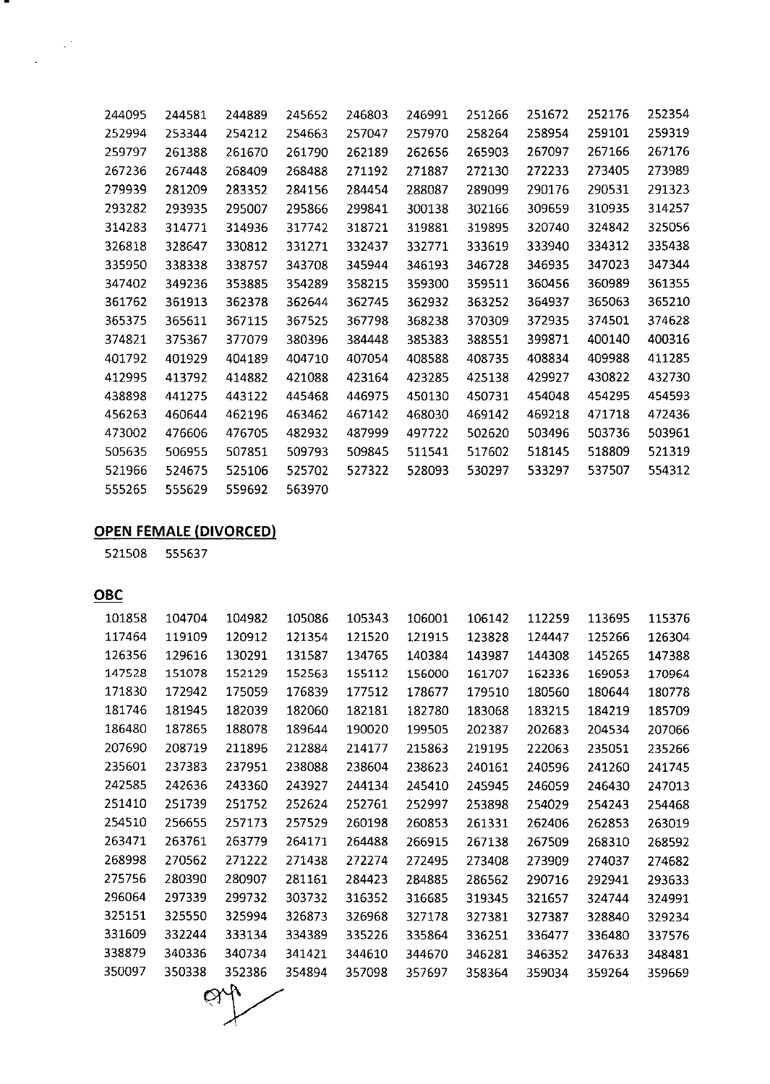| 244095 | 244581 | 244889 | 245652 | 246803 | 246991 | 251266 | 251672 | 252176 | 252354 |
|--------|--------|--------|--------|--------|--------|--------|--------|--------|--------|
| 252994 | 253344 | 254212 | 254663 | 257047 | 257970 | 258264 | 258954 | 259101 | 259319 |
| 259797 | 261388 | 261670 | 261790 | 262189 | 262656 | 265903 | 267097 | 267166 | 267176 |
| 267236 | 267448 | 268409 | 268488 | 271192 | 271887 | 272130 | 272233 | 273405 | 273989 |
| 279939 | 281209 | 283352 | 284156 | 284454 | 288087 | 289099 | 290176 | 290531 | 291323 |
| 293282 | 293935 | 295007 | 295866 | 299841 | 300138 | 302166 | 309659 | 310935 | 314257 |
| 314283 | 314771 | 314936 | 317742 | 318721 | 319881 | 319895 | 320740 | 324842 | 325056 |
| 326818 | 328647 | 330812 | 331271 | 332437 | 332771 | 333619 | 333940 | 334312 | 335438 |
| 335950 | 338338 | 338757 | 343708 | 345944 | 346193 | 346728 | 346935 | 347023 | 347344 |
| 347402 | 349236 | 353885 | 354289 | 358215 | 359300 | 359511 | 360456 | 360989 | 361355 |
| 361762 | 361913 | 362378 | 362644 | 362745 | 362932 | 363252 | 364937 | 365063 | 365210 |
| 365375 | 365611 | 367115 | 367525 | 367798 | 368238 | 370309 | 372935 | 374501 | 374628 |
| 374821 | 375367 | 377079 | 380396 | 384448 | 385383 | 388551 | 399871 | 400140 | 400316 |
| 401792 | 401929 | 404189 | 404710 | 407054 | 408588 | 408735 | 408834 | 409988 | 411285 |
| 412995 | 413792 | 414882 | 421088 | 423164 | 423285 | 425138 | 429927 | 430822 | 432730 |
| 438898 | 441275 | 443122 | 445468 | 446975 | 450130 | 450731 | 454048 | 454295 | 454593 |
| 456263 | 460644 | 462196 | 463462 | 467142 | 468030 | 469142 | 469218 | 471718 | 472436 |
| 473002 | 476606 | 476705 | 482932 | 487999 | 497722 | 502620 | 503496 | 503736 | 503961 |
| 505635 | 506955 | 507851 | 509793 | 509845 | 511541 | 517602 | 518145 | 518809 | 521319 |
| 521966 | 524675 | 525106 | 525702 | 527322 | 528093 | 530297 | 533297 | 537507 | 554312 |
| 555265 | 555629 | 559692 | 563970 |        |        |        |        |        |        |

## **OPEN FEMALE (DIVORCED)**

555637

**OBC**

.

| 101858<br>104704<br>104982<br>105086<br>105343<br>106001<br>112259<br>113695<br>106142<br>117464<br>119109<br>120912<br>121520<br>121915<br>121354<br>123828<br>124447<br>125266<br>126356<br>130291<br>134765<br>129616<br>131587<br>140384<br>143987<br>144308<br>145265<br>147528<br>151078<br>152129<br>152563<br>155112<br>156000<br>162336<br>169053<br>161707<br>171830<br>172942<br>175059<br>176839<br>177512<br>178677<br>179510<br>180560<br>180644<br>181746<br>181945<br>182039<br>182060<br>182181<br>182780<br>183068<br>183215<br>184219<br>186480<br>187865<br>188078<br>189644<br>190020<br>199505<br>202387<br>202683<br>204534<br>207690<br>208719<br>211896<br>212884<br>215863<br>214177<br>219195<br>222063<br>235051<br>235601<br>237383<br>237951<br>238088<br>238604<br>238623<br>240596<br>240161<br>241260<br>242585<br>242636<br>243360<br>243927<br>244134<br>245410<br>245945<br>246059<br>246430<br>251410<br>251739<br>251752<br>252624<br>252761<br>252997<br>253898<br>254029<br>254243<br>254510<br>257529<br>256655<br>257173<br>260198<br>260853<br>261331<br>262406<br>262853<br>263471<br>263761<br>264171<br>264488<br>263779<br>266915<br>267138<br>267509<br>268310<br>268998<br>270562<br>271222<br>271438<br>272274<br>272495<br>273408<br>273909<br>274037<br>275756<br>280390<br>280907<br>281161<br>284423<br>284885<br>286562<br>290716<br>292941<br>296064<br>297339<br>299732<br>303732<br>316352<br>316685<br>319345<br>324744<br>321657<br>325151<br>325550<br>325994<br>326873<br>326968<br>327178<br>327381<br>327387<br>328840<br>331609<br>332244<br>333134<br>334389<br>335226<br>335864<br>336251<br>336477<br>336480<br>338879<br>340336<br>340734<br>341421<br>344610<br>344670<br>346281<br>346352<br>347633<br>350097<br>350338<br>352386<br>354894<br>357098<br>357697<br>358364<br>359034<br>359264 |  |  |  |  |        |
|----------------------------------------------------------------------------------------------------------------------------------------------------------------------------------------------------------------------------------------------------------------------------------------------------------------------------------------------------------------------------------------------------------------------------------------------------------------------------------------------------------------------------------------------------------------------------------------------------------------------------------------------------------------------------------------------------------------------------------------------------------------------------------------------------------------------------------------------------------------------------------------------------------------------------------------------------------------------------------------------------------------------------------------------------------------------------------------------------------------------------------------------------------------------------------------------------------------------------------------------------------------------------------------------------------------------------------------------------------------------------------------------------------------------------------------------------------------------------------------------------------------------------------------------------------------------------------------------------------------------------------------------------------------------------------------------------------------------------------------------------------------------------------------------------------------------------------------------------------------------|--|--|--|--|--------|
|                                                                                                                                                                                                                                                                                                                                                                                                                                                                                                                                                                                                                                                                                                                                                                                                                                                                                                                                                                                                                                                                                                                                                                                                                                                                                                                                                                                                                                                                                                                                                                                                                                                                                                                                                                                                                                                                      |  |  |  |  | 115376 |
|                                                                                                                                                                                                                                                                                                                                                                                                                                                                                                                                                                                                                                                                                                                                                                                                                                                                                                                                                                                                                                                                                                                                                                                                                                                                                                                                                                                                                                                                                                                                                                                                                                                                                                                                                                                                                                                                      |  |  |  |  | 126304 |
|                                                                                                                                                                                                                                                                                                                                                                                                                                                                                                                                                                                                                                                                                                                                                                                                                                                                                                                                                                                                                                                                                                                                                                                                                                                                                                                                                                                                                                                                                                                                                                                                                                                                                                                                                                                                                                                                      |  |  |  |  | 147388 |
|                                                                                                                                                                                                                                                                                                                                                                                                                                                                                                                                                                                                                                                                                                                                                                                                                                                                                                                                                                                                                                                                                                                                                                                                                                                                                                                                                                                                                                                                                                                                                                                                                                                                                                                                                                                                                                                                      |  |  |  |  | 170964 |
|                                                                                                                                                                                                                                                                                                                                                                                                                                                                                                                                                                                                                                                                                                                                                                                                                                                                                                                                                                                                                                                                                                                                                                                                                                                                                                                                                                                                                                                                                                                                                                                                                                                                                                                                                                                                                                                                      |  |  |  |  | 180778 |
|                                                                                                                                                                                                                                                                                                                                                                                                                                                                                                                                                                                                                                                                                                                                                                                                                                                                                                                                                                                                                                                                                                                                                                                                                                                                                                                                                                                                                                                                                                                                                                                                                                                                                                                                                                                                                                                                      |  |  |  |  | 185709 |
|                                                                                                                                                                                                                                                                                                                                                                                                                                                                                                                                                                                                                                                                                                                                                                                                                                                                                                                                                                                                                                                                                                                                                                                                                                                                                                                                                                                                                                                                                                                                                                                                                                                                                                                                                                                                                                                                      |  |  |  |  | 207066 |
|                                                                                                                                                                                                                                                                                                                                                                                                                                                                                                                                                                                                                                                                                                                                                                                                                                                                                                                                                                                                                                                                                                                                                                                                                                                                                                                                                                                                                                                                                                                                                                                                                                                                                                                                                                                                                                                                      |  |  |  |  | 235266 |
|                                                                                                                                                                                                                                                                                                                                                                                                                                                                                                                                                                                                                                                                                                                                                                                                                                                                                                                                                                                                                                                                                                                                                                                                                                                                                                                                                                                                                                                                                                                                                                                                                                                                                                                                                                                                                                                                      |  |  |  |  | 241745 |
|                                                                                                                                                                                                                                                                                                                                                                                                                                                                                                                                                                                                                                                                                                                                                                                                                                                                                                                                                                                                                                                                                                                                                                                                                                                                                                                                                                                                                                                                                                                                                                                                                                                                                                                                                                                                                                                                      |  |  |  |  | 247013 |
|                                                                                                                                                                                                                                                                                                                                                                                                                                                                                                                                                                                                                                                                                                                                                                                                                                                                                                                                                                                                                                                                                                                                                                                                                                                                                                                                                                                                                                                                                                                                                                                                                                                                                                                                                                                                                                                                      |  |  |  |  | 254468 |
|                                                                                                                                                                                                                                                                                                                                                                                                                                                                                                                                                                                                                                                                                                                                                                                                                                                                                                                                                                                                                                                                                                                                                                                                                                                                                                                                                                                                                                                                                                                                                                                                                                                                                                                                                                                                                                                                      |  |  |  |  | 263019 |
|                                                                                                                                                                                                                                                                                                                                                                                                                                                                                                                                                                                                                                                                                                                                                                                                                                                                                                                                                                                                                                                                                                                                                                                                                                                                                                                                                                                                                                                                                                                                                                                                                                                                                                                                                                                                                                                                      |  |  |  |  | 268592 |
|                                                                                                                                                                                                                                                                                                                                                                                                                                                                                                                                                                                                                                                                                                                                                                                                                                                                                                                                                                                                                                                                                                                                                                                                                                                                                                                                                                                                                                                                                                                                                                                                                                                                                                                                                                                                                                                                      |  |  |  |  | 274682 |
|                                                                                                                                                                                                                                                                                                                                                                                                                                                                                                                                                                                                                                                                                                                                                                                                                                                                                                                                                                                                                                                                                                                                                                                                                                                                                                                                                                                                                                                                                                                                                                                                                                                                                                                                                                                                                                                                      |  |  |  |  | 293633 |
|                                                                                                                                                                                                                                                                                                                                                                                                                                                                                                                                                                                                                                                                                                                                                                                                                                                                                                                                                                                                                                                                                                                                                                                                                                                                                                                                                                                                                                                                                                                                                                                                                                                                                                                                                                                                                                                                      |  |  |  |  | 324991 |
|                                                                                                                                                                                                                                                                                                                                                                                                                                                                                                                                                                                                                                                                                                                                                                                                                                                                                                                                                                                                                                                                                                                                                                                                                                                                                                                                                                                                                                                                                                                                                                                                                                                                                                                                                                                                                                                                      |  |  |  |  | 329234 |
|                                                                                                                                                                                                                                                                                                                                                                                                                                                                                                                                                                                                                                                                                                                                                                                                                                                                                                                                                                                                                                                                                                                                                                                                                                                                                                                                                                                                                                                                                                                                                                                                                                                                                                                                                                                                                                                                      |  |  |  |  | 337576 |
|                                                                                                                                                                                                                                                                                                                                                                                                                                                                                                                                                                                                                                                                                                                                                                                                                                                                                                                                                                                                                                                                                                                                                                                                                                                                                                                                                                                                                                                                                                                                                                                                                                                                                                                                                                                                                                                                      |  |  |  |  | 348481 |
|                                                                                                                                                                                                                                                                                                                                                                                                                                                                                                                                                                                                                                                                                                                                                                                                                                                                                                                                                                                                                                                                                                                                                                                                                                                                                                                                                                                                                                                                                                                                                                                                                                                                                                                                                                                                                                                                      |  |  |  |  | 359669 |
|                                                                                                                                                                                                                                                                                                                                                                                                                                                                                                                                                                                                                                                                                                                                                                                                                                                                                                                                                                                                                                                                                                                                                                                                                                                                                                                                                                                                                                                                                                                                                                                                                                                                                                                                                                                                                                                                      |  |  |  |  |        |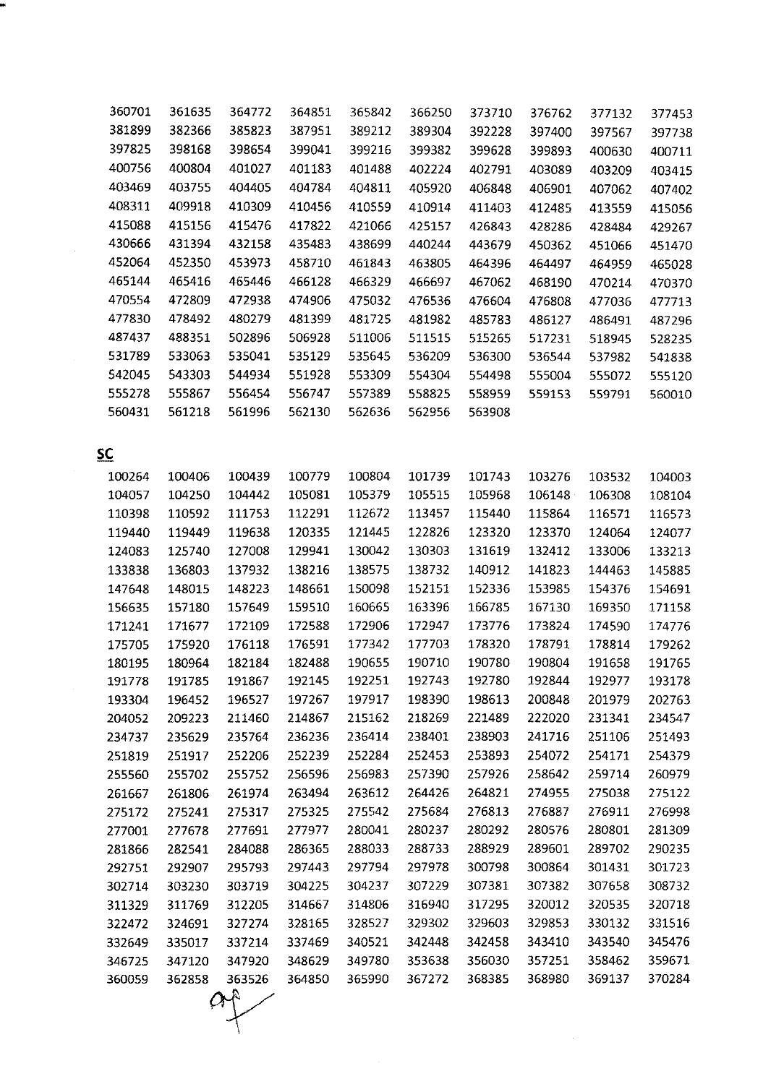| 360701    | 361635 | 364772 | 364851 | 365842 | 366250 | 373710 | 376762 | 377132 | 377453 |
|-----------|--------|--------|--------|--------|--------|--------|--------|--------|--------|
| 381899    | 382366 | 385823 | 387951 | 389212 | 389304 | 392228 | 397400 | 397567 | 397738 |
| 397825    | 398168 | 398654 | 399041 | 399216 | 399382 | 399628 | 399893 | 400630 | 400711 |
| 400756    | 400804 | 401027 | 401183 | 401488 | 402224 | 402791 | 403089 | 403209 | 403415 |
| 403469    | 403755 | 404405 | 404784 | 404811 | 405920 | 406848 | 406901 | 407062 | 407402 |
| 408311    | 409918 | 410309 | 410456 | 410559 | 410914 | 411403 | 412485 | 413559 | 415056 |
| 415088    | 415156 | 415476 | 417822 | 421066 | 425157 | 426843 | 428286 | 428484 | 429267 |
| 430666    | 431394 | 432158 | 435483 | 438699 | 440244 | 443679 | 450362 | 451066 | 451470 |
| 452064    | 452350 | 453973 | 458710 | 461843 | 463805 | 464396 | 464497 | 464959 | 465028 |
| 465144    | 465416 | 465446 | 466128 | 466329 | 466697 | 467062 | 468190 | 470214 | 470370 |
| 470554    | 472809 | 472938 | 474906 | 475032 | 476536 | 476604 | 476808 | 477036 | 477713 |
| 477830    | 478492 | 480279 | 481399 | 481725 | 481982 | 485783 | 486127 | 486491 | 487296 |
| 487437    | 488351 | 502896 | 506928 | 511006 | 511515 | 515265 | 517231 | 518945 | 528235 |
| 531789    | 533063 | 535041 | 535129 | 535645 | 536209 | 536300 | 536544 | 537982 | 541838 |
| 542045    | 543303 | 544934 | 551928 | 553309 | 554304 | 554498 | 555004 | 555072 | 555120 |
| 555278    | 555867 | 556454 | 556747 | 557389 | 558825 | 558959 | 559153 | 559791 | 560010 |
| 560431    | 561218 | 561996 | 562130 | 562636 | 562956 | 563908 |        |        |        |
|           |        |        |        |        |        |        |        |        |        |
| <u>sc</u> |        |        |        |        |        |        |        |        |        |
| 100264    | 100406 | 100439 | 100779 | 100804 | 101739 | 101743 | 103276 | 103532 | 104003 |
| 104057    | 104250 | 104442 | 105081 | 105379 | 105515 | 105968 | 106148 | 106308 | 108104 |
| 110398    | 110592 | 111753 | 112291 | 112672 | 113457 | 115440 | 115864 | 116571 | 116573 |
| 119440    | 119449 | 119638 | 120335 | 121445 | 122826 | 123320 | 123370 | 124064 | 124077 |
| 124083    | 125740 | 127008 | 129941 | 130042 | 130303 | 131619 | 132412 | 133006 | 133213 |
| 133838    | 136803 | 137932 | 138216 | 138575 | 138732 | 140912 | 141823 | 144463 | 145885 |
| 147648    | 148015 | 148223 | 148661 | 150098 | 152151 | 152336 | 153985 | 154376 | 154691 |
| 156635    | 157180 | 157649 | 159510 | 160665 | 163396 | 166785 | 167130 | 169350 | 171158 |
| 171241    | 171677 | 172109 | 172588 | 172906 | 172947 | 173776 | 173824 | 174590 | 174776 |
| 175705    | 175920 | 176118 | 176591 | 177342 | 177703 | 178320 | 178791 | 178814 | 179262 |
| 180195    | 180964 | 182184 | 182488 | 190655 | 190710 | 190780 | 190804 | 191658 | 191765 |
| 191778    | 191785 | 191867 | 192145 | 192251 | 192743 | 192780 | 192844 | 192977 | 193178 |
| 193304    | 196452 | 196527 | 197267 | 197917 | 198390 | 198613 | 200848 | 201979 | 202763 |
| 204052    | 209223 | 211460 | 214867 | 215162 | 218269 | 221489 | 222020 | 231341 | 234547 |
| 234737    | 235629 | 235764 | 236236 | 236414 | 238401 | 238903 | 241716 | 251106 | 251493 |
| 251819    | 251917 | 252206 | 252239 | 252284 | 252453 | 253893 | 254072 | 254171 | 254379 |
| 255560    | 255702 | 255752 | 256596 | 256983 | 257390 | 257926 | 258642 | 259714 | 260979 |
| 261667    | 261806 | 261974 | 263494 | 263612 | 264426 | 264821 | 274955 | 275038 | 275122 |
| 275172    | 275241 | 275317 | 275325 | 275542 | 275684 | 276813 | 276887 | 276911 | 276998 |
| 277001    | 277678 | 277691 | 277977 | 280041 | 280237 | 280292 | 280576 | 280801 | 281309 |
| 281866    | 282541 | 284088 | 286365 | 288033 | 288733 | 288929 | 289601 | 289702 | 290235 |
| 292751    | 292907 | 295793 | 297443 | 297794 | 297978 | 300798 | 300864 | 301431 | 301723 |
| 302714    | 303230 | 303719 | 304225 | 304237 | 307229 | 307381 | 307382 | 307658 | 308732 |
| 311329    | 311769 | 312205 | 314667 | 314806 | 316940 | 317295 | 320012 | 320535 | 320718 |
| 322472    | 324691 | 327274 | 328165 | 328527 | 329302 | 329603 | 329853 | 330132 | 331516 |
| 332649    | 335017 | 337214 | 337469 | 340521 | 342448 | 342458 | 343410 | 343540 | 345476 |
| 346725    | 347120 | 347920 | 348629 | 349780 | 353638 | 356030 | 357251 | 358462 | 359671 |

×

363526

 $\hat{\varphi}$ 

 $\sim 10$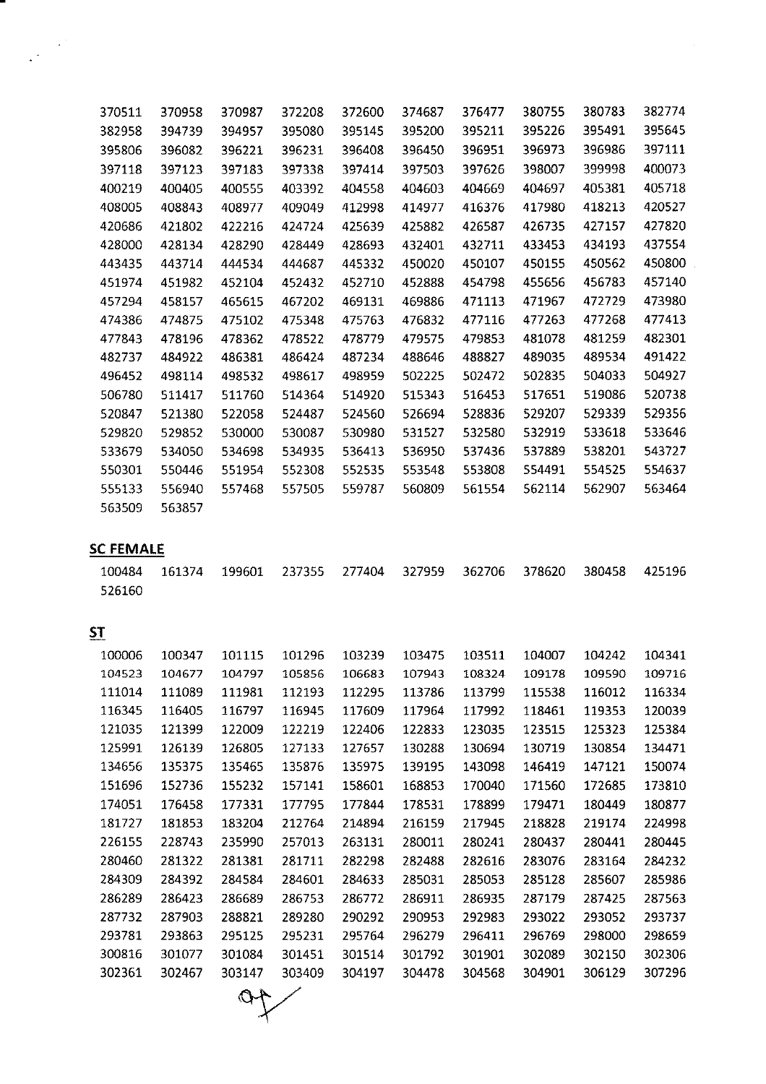| 370511                               | 370958 | 370987 | 372208 | 372600 | 374687 | 376477 | 380755 | 380783 | 382774 |
|--------------------------------------|--------|--------|--------|--------|--------|--------|--------|--------|--------|
| 382958                               | 394739 | 394957 | 395080 | 395145 | 395200 | 395211 | 395226 | 395491 | 395645 |
| 395806                               | 396082 | 396221 | 396231 | 396408 | 396450 | 396951 | 396973 | 396986 | 397111 |
| 397118                               | 397123 | 397183 | 397338 | 397414 | 397503 | 397626 | 398007 | 399998 | 400073 |
| 400219                               | 400405 | 400555 | 403392 | 404558 | 404603 | 404669 | 404697 | 405381 | 405718 |
| 408005                               | 408843 | 408977 | 409049 | 412998 | 414977 | 416376 | 417980 | 418213 | 420527 |
| 420686                               | 421802 | 422216 | 424724 | 425639 | 425882 | 426587 | 426735 | 427157 | 427820 |
| 428000                               | 428134 | 428290 | 428449 | 428693 | 432401 | 432711 | 433453 | 434193 | 437554 |
| 443435                               | 443714 | 444534 | 444687 | 445332 | 450020 | 450107 | 450155 | 450562 | 450800 |
| 451974                               | 451982 | 452104 | 452432 | 452710 | 452888 | 454798 | 455656 | 456783 | 457140 |
| 457294                               | 458157 | 465615 | 467202 | 469131 | 469886 | 471113 | 471967 | 472729 | 473980 |
| 474386                               | 474875 | 475102 | 475348 | 475763 | 476832 | 477116 | 477263 | 477268 | 477413 |
| 477843                               | 478196 | 478362 | 478522 | 478779 | 479575 | 479853 | 481078 | 481259 | 482301 |
| 482737                               | 484922 | 486381 | 486424 | 487234 | 488646 | 488827 | 489035 | 489534 | 491422 |
| 496452                               | 498114 | 498532 | 498617 | 498959 | 502225 | 502472 | 502835 | 504033 | 504927 |
| 506780                               | 511417 | 511760 | 514364 | 514920 | 515343 | 516453 | 517651 | 519086 | 520738 |
| 520847                               | 521380 | 522058 | 524487 | 524560 | 526694 | 528836 | 529207 | 529339 | 529356 |
| 529820                               | 529852 | 530000 | 530087 | 530980 | 531527 | 532580 | 532919 | 533618 | 533646 |
| 533679                               | 534050 | 534698 | 534935 | 536413 | 536950 | 537436 | 537889 | 538201 | 543727 |
| 550301                               | 550446 | 551954 | 552308 | 552535 | 553548 | 553808 | 554491 | 554525 | 554637 |
| 555133                               | 556940 | 557468 | 557505 | 559787 | 560809 | 561554 | 562114 | 562907 | 563464 |
| 563509                               | 563857 |        |        |        |        |        |        |        |        |
| <b>SC FEMALE</b><br>100484<br>526160 | 161374 | 199601 | 237355 | 277404 | 327959 | 362706 | 378620 | 380458 | 425196 |
| <u>ST</u>                            |        |        |        |        |        |        |        |        |        |
| 100006                               | 100347 | 101115 | 101296 | 103239 | 103475 | 103511 | 104007 | 104242 | 104341 |
| 104523                               | 104677 | 104797 | 105856 | 106683 | 107943 | 108324 | 109178 | 109590 | 109716 |
| 111014                               | 111089 | 111981 | 112193 | 112295 | 113786 | 113799 | 115538 | 116012 | 116334 |
| 116345                               | 116405 | 116797 | 116945 | 117609 | 117964 | 117992 | 118461 | 119353 | 120039 |
| 121035                               | 121399 | 122009 | 122219 | 122406 | 122833 | 123035 | 123515 | 125323 | 125384 |
| 125991                               | 126139 | 126805 | 127133 | 127657 | 130288 | 130694 | 130719 | 130854 | 134471 |
| 134656                               | 135375 | 135465 | 135876 | 135975 | 139195 | 143098 | 146419 | 147121 | 150074 |
| 151696                               | 152736 | 155232 | 157141 | 158601 | 168853 | 170040 | 171560 | 172685 | 173810 |
| 174051                               | 176458 | 177331 | 177795 | 177844 | 178531 | 178899 | 179471 | 180449 | 180877 |
| 181727                               | 181853 | 183204 | 212764 | 214894 | 216159 | 217945 | 218828 | 219174 | 224998 |
| 226155                               | 228743 | 235990 | 257013 | 263131 | 280011 | 280241 | 280437 | 280441 | 280445 |
| 280460                               | 281322 | 281381 | 281711 | 282298 | 282488 | 282616 | 283076 | 283164 | 284232 |
| 284309                               | 284392 | 284584 | 284601 | 284633 | 285031 | 285053 | 285128 | 285607 | 285986 |
| 286289                               | 286423 | 286689 | 286753 | 286772 | 286911 | 286935 | 287179 | 287425 | 287563 |
| 287732                               | 287903 | 288821 | 289280 | 290292 | 290953 | 292983 | 293022 | 293052 | 293737 |
| 293781                               | 293863 | 295125 | 295231 | 295764 | 296279 | 296411 | 296769 | 298000 | 298659 |
| 300816                               | 301077 | 301084 | 301451 | 301514 | 301792 | 301901 | 302089 | 302150 | 302306 |
| 302361                               | 302467 | 303147 | 303409 | 304197 | 304478 | 304568 | 304901 | 306129 | 307296 |
|                                      |        |        |        |        |        |        |        |        |        |

 $\mathcal{L}^{\text{max}}_{\text{max}}$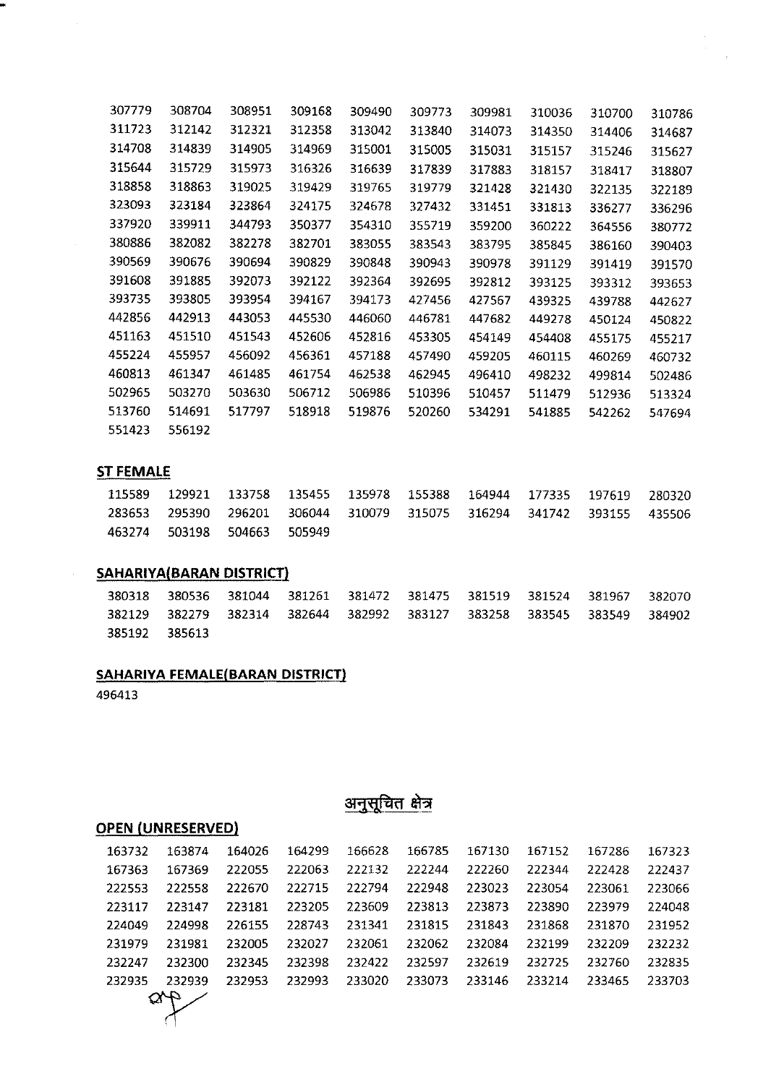| 307779 | 308704 | 308951 | 309168 | 309490 | 309773 | 309981 | 310036 | 310700 | 310786 |
|--------|--------|--------|--------|--------|--------|--------|--------|--------|--------|
| 311723 | 312142 | 312321 | 312358 | 313042 | 313840 | 314073 | 314350 | 314406 | 314687 |
| 314708 | 314839 | 314905 | 314969 | 315001 | 315005 | 315031 | 315157 | 315246 | 315627 |
| 315644 | 315729 | 315973 | 316326 | 316639 | 317839 | 317883 | 318157 | 318417 | 318807 |
| 318858 | 318863 | 319025 | 319429 | 319765 | 319779 | 321428 | 321430 | 322135 | 322189 |
| 323093 | 323184 | 323864 | 324175 | 324678 | 327432 | 331451 | 331813 | 336277 | 336296 |
| 337920 | 339911 | 344793 | 350377 | 354310 | 355719 | 359200 | 360222 | 364556 | 380772 |
| 380886 | 382082 | 382278 | 382701 | 383055 | 383543 | 383795 | 385845 | 386160 | 390403 |
| 390569 | 390676 | 390694 | 390829 | 390848 | 390943 | 390978 | 391129 | 391419 | 391570 |
| 391608 | 391885 | 392073 | 392122 | 392364 | 392695 | 392812 | 393125 | 393312 | 393653 |
| 393735 | 393805 | 393954 | 394167 | 394173 | 427456 | 427567 | 439325 | 439788 | 442627 |
| 442856 | 442913 | 443053 | 445530 | 446060 | 446781 | 447682 | 449278 | 450124 | 450822 |
| 451163 | 451510 | 451543 | 452606 | 452816 | 453305 | 454149 | 454408 | 455175 | 455217 |
| 455224 | 455957 | 456092 | 456361 | 457188 | 457490 | 459205 | 460115 | 460269 | 460732 |
| 460813 | 461347 | 461485 | 461754 | 462538 | 462945 | 496410 | 498232 | 499814 | 502486 |
| 502965 | 503270 | 503630 | 506712 | 506986 | 510396 | 510457 | 511479 | 512936 | 513324 |
| 513760 | 514691 | 517797 | 518918 | 519876 | 520260 | 534291 | 541885 | 542262 | 547694 |
| 551423 | 556192 |        |        |        |        |        |        |        |        |

### **ST FEMALE**

w

 $\hat{\mathcal{A}}$ 

|  | 115589 129921 133758 135455 135978 155388 164944 177335 197619 280320 |  |  |  |  |
|--|-----------------------------------------------------------------------|--|--|--|--|
|  | 283653 295390 296201 306044 310079 315075 316294 341742 393155 435506 |  |  |  |  |
|  | 463274 503198 504663 505949                                           |  |  |  |  |

### **SAHARIYA( BARAN DISTRICT}**

 380536 381044 381261 381472 381475 381519 381524 381967 382070 382279 382314 382644 382992 383127 383258 383545 383549 384902 385613

### **SAHARIYA FEMALE{BARAN DISTRICT)**

# अनुसूचित क्षेत्र

### **OPEN (UNRESERVED}**

| 163732 | 163874             | 164026 | 164299 | 166628 | 166785 | 167130 | 167152 | 167286 | 167323 |
|--------|--------------------|--------|--------|--------|--------|--------|--------|--------|--------|
| 167363 | 167369             | 222055 | 222063 | 222132 | 222244 | 222260 | 222344 | 222428 | 222437 |
| 222553 | 222558             | 222670 | 222715 | 222794 | 222948 | 223023 | 223054 | 223061 | 223066 |
| 223117 | 223147             | 223181 | 223205 | 223609 | 223813 | 223873 | 223890 | 223979 | 224048 |
| 224049 | 224998             | 226155 | 228743 | 231341 | 231815 | 231843 | 231868 | 231870 | 231952 |
| 231979 | 231981             | 232005 | 232027 | 232061 | 232062 | 232084 | 232199 | 232209 | 232232 |
| 232247 | 232300             | 232345 | 232398 | 232422 | 232597 | 232619 | 232725 | 232760 | 232835 |
| 232935 | 232939             | 232953 | 232993 | 233020 | 233073 | 233146 | 233214 | 233465 | 233703 |
|        | $\frac{d\phi}{dt}$ |        |        |        |        |        |        |        |        |
|        |                    |        |        |        |        |        |        |        |        |
|        |                    |        |        |        |        |        |        |        |        |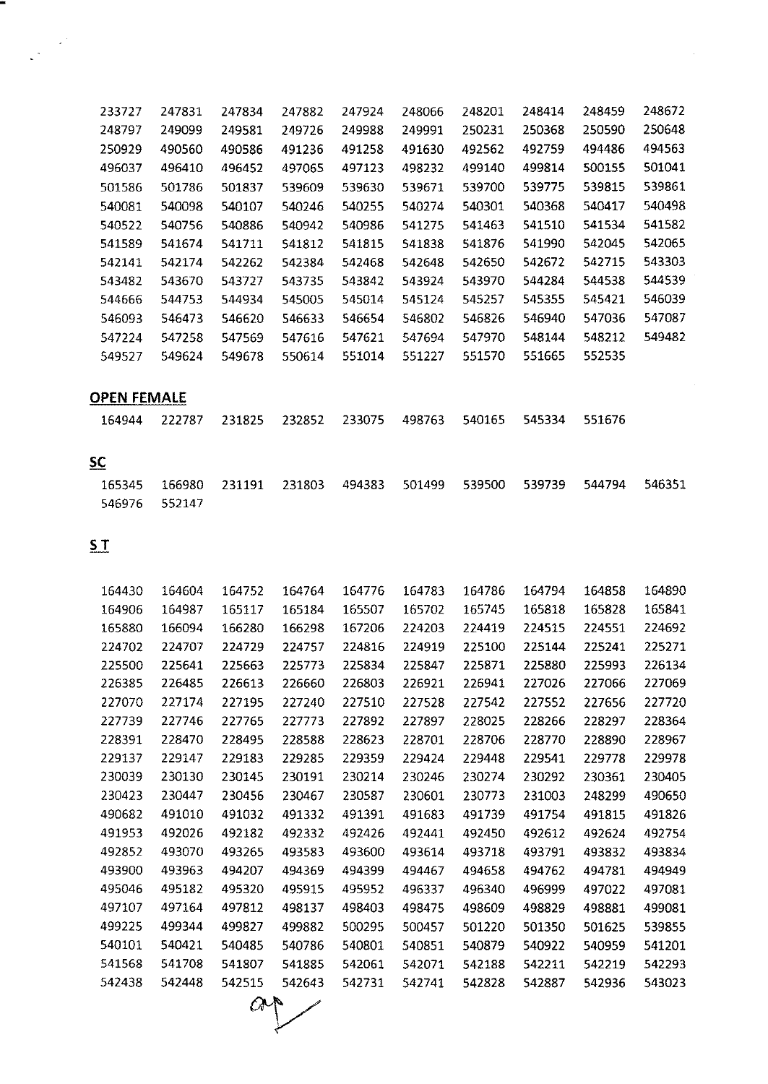| 233727 | 247831 | 247834 | 247882 | 247924 | 248066 | 248201 | 248414 | 248459 | 248672 |
|--------|--------|--------|--------|--------|--------|--------|--------|--------|--------|
| 248797 | 249099 | 249581 | 249726 | 249988 | 249991 | 250231 | 250368 | 250590 | 250648 |
| 250929 | 490560 | 490586 | 491236 | 491258 | 491630 | 492562 | 492759 | 494486 | 494563 |
| 496037 | 496410 | 496452 | 497065 | 497123 | 498232 | 499140 | 499814 | 500155 | 501041 |
| 501586 | 501786 | 501837 | 539609 | 539630 | 539671 | 539700 | 539775 | 539815 | 539861 |
| 540081 | 540098 | 540107 | 540246 | 540255 | 540274 | 540301 | 540368 | 540417 | 540498 |
| 540522 | 540756 | 540886 | 540942 | 540986 | 541275 | 541463 | 541510 | 541534 | 541582 |
| 541589 | 541674 | 541711 | 541812 | 541815 | 541838 | 541876 | 541990 | 542045 | 542065 |
| 542141 | 542174 | 542262 | 542384 | 542468 | 542648 | 542650 | 542672 | 542715 | 543303 |
| 543482 | 543670 | 543727 | 543735 | 543842 | 543924 | 543970 | 544284 | 544538 | 544539 |
| 544666 | 544753 | 544934 | 545005 | 545014 | 545124 | 545257 | 545355 | 545421 | 546039 |
| 546093 | 546473 | 546620 | 546633 | 546654 | 546802 | 546826 | 546940 | 547036 | 547087 |
| 547224 | 547258 | 547569 | 547616 | 547621 | 547694 | 547970 | 548144 | 548212 | 549482 |
| 549527 | 549624 | 549678 | 550614 | 551014 | 551227 | 551570 | 551665 | 552535 |        |
|        |        |        |        |        |        |        |        |        |        |

# **OPEN FEMALE**

|  | 164944 222787 231825 232852 233075 498763 540165 545334 551676 |  |  |  |
|--|----------------------------------------------------------------|--|--|--|
|  |                                                                |  |  |  |

# **5C**

|               |  |  | 165345 166980 231191 231803 494383 501499 539500 539739 544794 546351 |  |  |
|---------------|--|--|-----------------------------------------------------------------------|--|--|
| 546976 552147 |  |  |                                                                       |  |  |

**5T**

| 164430 | 164604 | 164752 | 164764 | 164776 | 164783 | 164786 | 164794 | 164858 | 164890 |
|--------|--------|--------|--------|--------|--------|--------|--------|--------|--------|
| 164906 | 164987 | 165117 | 165184 | 165507 | 165702 | 165745 | 165818 | 165828 | 165841 |
| 165880 | 166094 | 166280 | 166298 | 167206 | 224203 | 224419 | 224515 | 224551 | 224692 |
| 224702 | 224707 | 224729 | 224757 | 224816 | 224919 | 225100 | 225144 | 225241 | 225271 |
| 225500 | 225641 | 225663 | 225773 | 225834 | 225847 | 225871 | 225880 | 225993 | 226134 |
| 226385 | 226485 | 226613 | 226660 | 226803 | 226921 | 226941 | 227026 | 227066 | 227069 |
| 227070 | 227174 | 227195 | 227240 | 227510 | 227528 | 227542 | 227552 | 227656 | 227720 |
| 227739 | 227746 | 227765 | 227773 | 227892 | 227897 | 228025 | 228266 | 228297 | 228364 |
| 228391 | 228470 | 228495 | 228588 | 228623 | 228701 | 228706 | 228770 | 228890 | 228967 |
| 229137 | 229147 | 229183 | 229285 | 229359 | 229424 | 229448 | 229541 | 229778 | 229978 |
| 230039 | 230130 | 230145 | 230191 | 230214 | 230246 | 230274 | 230292 | 230361 | 230405 |
| 230423 | 230447 | 230456 | 230467 | 230587 | 230601 | 230773 | 231003 | 248299 | 490650 |
| 490682 | 491010 | 491032 | 491332 | 491391 | 491683 | 491739 | 491754 | 491815 | 491826 |
| 491953 | 492026 | 492182 | 492332 | 492426 | 492441 | 492450 | 492612 | 492624 | 492754 |
| 492852 | 493070 | 493265 | 493583 | 493600 | 493614 | 493718 | 493791 | 493832 | 493834 |
| 493900 | 493963 | 494207 | 494369 | 494399 | 494467 | 494658 | 494762 | 494781 | 494949 |
| 495046 | 495182 | 495320 | 495915 | 495952 | 496337 | 496340 | 496999 | 497022 | 497081 |
| 497107 | 497164 | 497812 | 498137 | 498403 | 498475 | 498609 | 498829 | 498881 | 499081 |
| 499225 | 499344 | 499827 | 499882 | 500295 | 500457 | 501220 | 501350 | 501625 | 539855 |
| 540101 | 540421 | 540485 | 540786 | 540801 | 540851 | 540879 | 540922 | 540959 | 541201 |
| 541568 | 541708 | 541807 | 541885 | 542061 | 542071 | 542188 | 542211 | 542219 | 542293 |
| 542438 | 542448 | 542515 | 542643 | 542731 | 542741 | 542828 | 542887 | 542936 | 543023 |

 $a_{\uparrow}$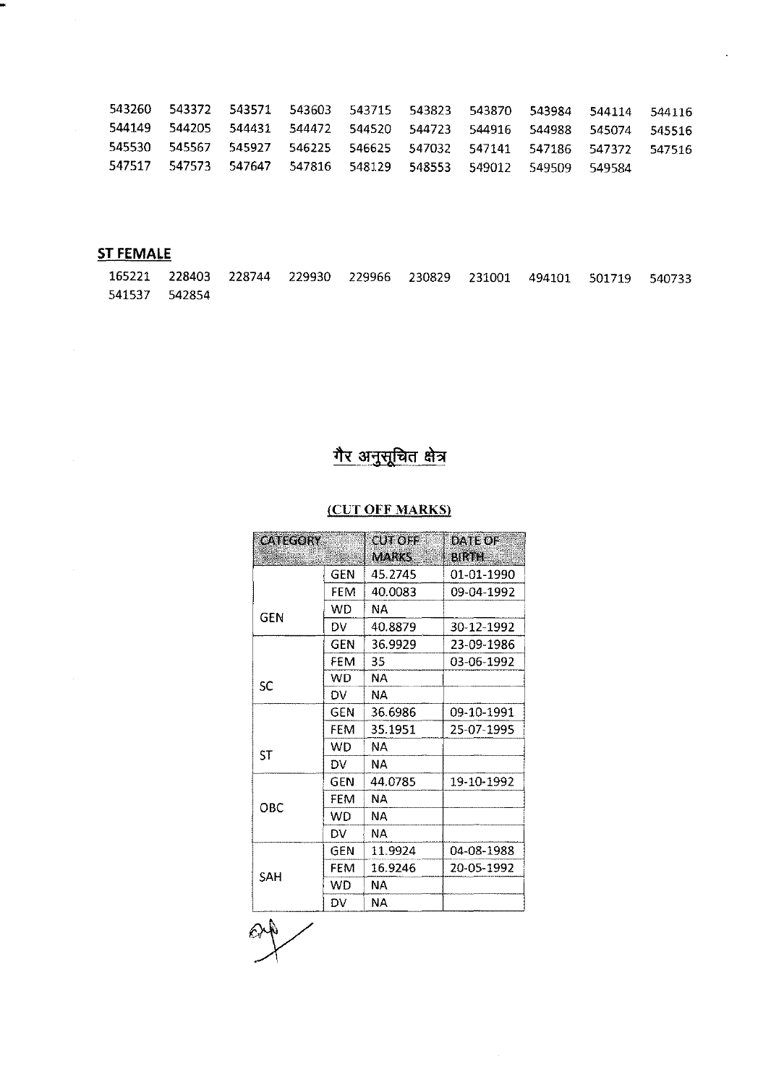|  | 543260 543372 543571 543603 543715 543823 543870 543984 544114                 |  |  |  | 544116 |
|--|--------------------------------------------------------------------------------|--|--|--|--------|
|  | 544149  544205  544431  544472  544520  544723  544916  544988  545074  545516 |  |  |  |        |
|  | 545530 545567 545927 546225 546625 547032 547141 547186 547372 547516          |  |  |  |        |
|  | 547517 547573 547647 547816 548129 548553 549012 549509 549584                 |  |  |  |        |

 $\overline{\phantom{a}}$ 

# **ST FEMALE**

 $\mathcal{A}^{\text{max}}_{\text{max}}$ 

 $\mathcal{A}^{\text{max}}_{\text{max}}$ 

WK

 $\mathcal{A}^{\mathcal{A}}$ 

|               |  |  |  | 165221 228403 228744 229930 229966 230829 231001 494101 501719 540733 |  |
|---------------|--|--|--|-----------------------------------------------------------------------|--|
| 541537 542854 |  |  |  |                                                                       |  |

# <u>गैर अनुसूचित क्षेत्र</u>

## (CUT OFF MARKS)

| <b>CATEGORY</b> |            | CUT OFF      | DAIFOF       |
|-----------------|------------|--------------|--------------|
|                 |            | <b>MARKS</b> | <b>BIRTH</b> |
|                 | <b>GEN</b> | 45 2745      | 01-01-1990   |
|                 | FEM        | 40.0083      | 09-04-1992   |
| GEN             | WD.        | NΑ           |              |
|                 | DV.        | 40.8879      | 30-12-1992   |
|                 | GFN        | 36.9929      | 23-09-1986   |
|                 | FEM        | 35           | 03-06-1992   |
| SC              | WD.        | NΑ           |              |
|                 | DV         | NA.          |              |
|                 | GEN        | 36.6986      | 09-10-1991   |
|                 | FEM        | 35.1951      | 25-07-1995   |
| ST              | WD.        | NA.          |              |
|                 | DV         | N٨.          |              |
|                 | GEN        | 44.0785      | 19-10-1992   |
| OBC             | <b>FFM</b> | NΑ           |              |
|                 | WD.        | ΝA           |              |
|                 | DV.        | NА           |              |
|                 | GEN        | 11.9924      | 04-08-1988   |
|                 | <b>FEM</b> | 16.9246      | 20-05-1992   |
| SAH             | WD         | NА           |              |
|                 | DV         | NΑ           |              |

 $\mathcal{L}_{\mathcal{A}}$ 

 $\mathbb{Q}$